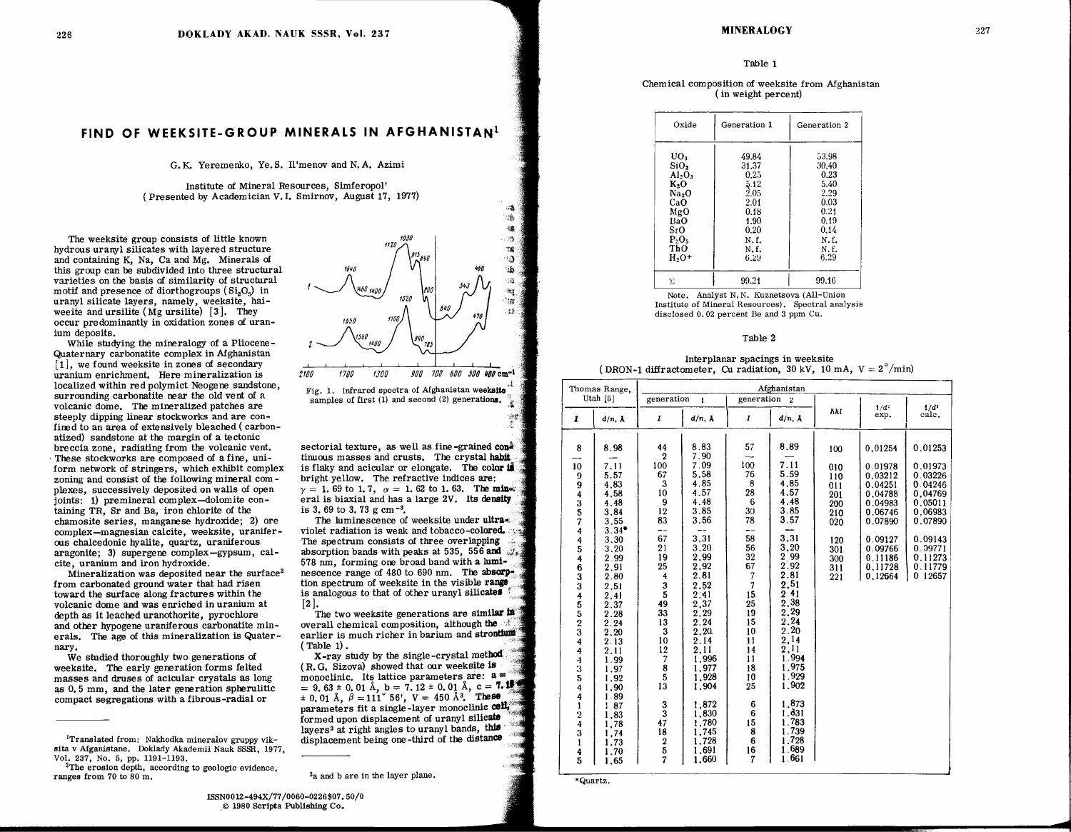#### Table 1

Chemical composition of weeksite from Afghanistan (in weight percent)

| Oxide            | Generation 1 | Generation 2 |  |  |
|------------------|--------------|--------------|--|--|
| UO <sub>3</sub>  | 49.84        | 53.98        |  |  |
| SiO <sub>2</sub> | 31.37        | 30.40        |  |  |
| $Al_2O_3$        | 0.25         | 0.23         |  |  |
| $K_2O$           | 5.12         | 5.40         |  |  |
| Na,O             | 2.05         | 2.29         |  |  |
| CaO              | 2.01         | 0.03         |  |  |
| MgO              | 0.18         | 0.21         |  |  |
| <b>BaO</b>       | 1.90         | 0.19         |  |  |
| SrO.             | 0.20         | 0.14         |  |  |
| P.O.             | N.f.         | N.f.         |  |  |
| ThO              | N.f.         | N.f.         |  |  |
| $H_2O^+$         | 6.29         | 6.29         |  |  |
| Σ                | 99.21        | 99.16        |  |  |

Note. Analyst N.N. Kuznetsova (All-Union Institute of Mineral Resources). Spectral analysis disclosed 0.02 percent Be and 3 ppm Cu.

### Table 2

Interplanar spacings in weeksite (DRON-1 diffractometer, Cu radiation, 30 kV, 10 mA,  $V = 2^{\circ}/\text{min}$ )

| Thomas Range,<br>Utah $[5]$                                                     |                                                      | Afghanistan                                                 |                                                             |                                       |                                                             |                                        |                                                                |                                                                |  |  |
|---------------------------------------------------------------------------------|------------------------------------------------------|-------------------------------------------------------------|-------------------------------------------------------------|---------------------------------------|-------------------------------------------------------------|----------------------------------------|----------------------------------------------------------------|----------------------------------------------------------------|--|--|
|                                                                                 |                                                      | generation<br>$\mathbf{1}$                                  |                                                             | generation<br>$\overline{2}$          |                                                             |                                        |                                                                |                                                                |  |  |
| I                                                                               | $d/n$ , $\lambda$                                    | I                                                           | $d/n$ , $\lambda$                                           | $\boldsymbol{I}$                      | $d/n$ , $\lambda$                                           | hhl                                    | 1/d <sup>2</sup><br>exp.                                       | 1/d <sup>2</sup><br>calc.                                      |  |  |
| 8                                                                               | 8.98                                                 | 44<br>$\overline{2}$                                        | 8,83<br>7.90                                                | 57<br>---                             | 8.89                                                        | 100                                    | 0,01254                                                        | 0.01253                                                        |  |  |
| 10<br>9<br>94357                                                                | 7.11<br>5.57<br>4,83<br>4,58<br>4.48<br>3,84         | 100<br>67<br>3<br>10<br>9<br>12                             | 7.09<br>5.58<br>4.85<br>4.57<br>4.48<br>3.85                | 100<br>76<br>8<br>28<br>6<br>30       | 7.11<br>5.59<br>4.85<br>4.57<br>4.48<br>3.85                | 010<br>110<br>011<br>201<br>200<br>210 | 0.01978<br>0.03212<br>0.04251<br>0.04788<br>0.04983<br>0.06746 | 0.01973<br>0.03226<br>0.04246<br>0.04769<br>0.05011<br>0.06983 |  |  |
| $\frac{4}{4}$<br>$\frac{5}{4}$                                                  | 3.55<br>$3.34^{\bullet}$<br>3,30<br>3.20<br>2.99     | 83<br>--<br>67<br>21<br>19                                  | 3,56<br>3,31<br>3.20<br>2,99                                | 78<br>--<br>58<br>56<br>32            | 3.57<br>3,31<br>3.20<br>2.99                                | 020<br>120<br>301<br>300               | 0.07890<br>0.09127<br>0.09766<br>0.11186                       | 0.07890<br>0.09143<br>0.09771<br>0.11273                       |  |  |
| $\frac{6}{3}$                                                                   | 2,91<br>2.80<br>2.51<br>2,41<br>2.37                 | 25<br>4<br>$\frac{3}{5}$<br>49                              | 2,92<br>2.81<br>2.52<br>2.41<br>2,37                        | 67<br>$\overline{7}$<br>7<br>15<br>25 | 2.92<br>2.81<br>2,51<br>2.41<br>2.38<br>2,29                | 311<br>221                             | 0.11728<br>0,12664                                             | 0.11779<br>0 12657                                             |  |  |
| 3455234<br>$\overline{\mathbf{4}}$                                              | 2.28<br>2.24<br>2,20<br>2.13<br>2,11                 | 33<br>13<br>$\overline{\mathbf{3}}$<br>10<br>12             | 2,29<br>2.24<br>2.20<br>2.14<br>2.11                        | 19<br>15<br>10<br>$\mathbf{1}$<br>14  | 2.24<br>2.20<br>2,14<br>2.11<br>1.994                       |                                        |                                                                |                                                                |  |  |
| $\frac{4}{3}$<br>4<br>4                                                         | 1.99<br>1.97<br>1.92<br>1,90<br>1.89                 | $\overline{\mathcal{U}}$<br>$\bf{8}$<br>5<br>13             | 1.996<br>1,977<br>1,928<br>1.904                            | 11<br>18<br>10<br>25                  | 1.975<br>1.929<br>1.902                                     |                                        |                                                                |                                                                |  |  |
| $\mathbf 1$<br>$\overline{2}$<br>$\frac{4}{3}$<br>$\mathbf{I}$<br>$\frac{4}{5}$ | 1.87<br>1,83<br>1,78<br>1,74<br>1.73<br>1,70<br>1,65 | 3<br>$\overline{3}$<br>47<br>18<br>$\bf 2$<br>$\frac{5}{7}$ | 1,872<br>1,830<br>1,780<br>1,745<br>1.728<br>1.691<br>1.660 | 6<br>6<br>15<br>8<br>6<br>16<br>7     | 1.873<br>1.831<br>1.783<br>1.739<br>1.728<br>1.689<br>1.661 |                                        |                                                                |                                                                |  |  |

<sup>\*</sup>Quartz.

# FIND OF WEEKSITE-GROUP MINERALS IN AFGHANISTAN<sup>1</sup>

G.K. Yeremenko, Ye.S. Il'menov and N.A. Azimi

Institute of Mineral Resources, Simferopol' (Presented by Academician V.I. Smirnov, August 17, 1977)

The weeksite group consists of little known hydrous uranyl silicates with layered structure and containing K, Na, Ca and Mg. Minerals of this group can be subdivided into three structural varieties on the basis of similarity of structural motif and presence of diorthogroups  $(Si<sub>2</sub>O<sub>5</sub>)$  in uranyl silicate layers, namely, weeksite, haiwee ite and ursilite  $(Mg$  ursilite) [3]. They occur predominantly in oxidation zones of uranium deposits.

While studying the mineralogy of a Pliocene-Quaternary carbonatite complex in Afghanistan  $[1]$ , we found weeksite in zones of secondary uranium enrichment. Here mineralization is localized within red polymict Neogene sandstone, surrounding carbonatite near the old vent of a volcanic dome. The mineralized patches are steeply dipping linear stockworks and are confined to an area of extensively bleached (carbonatized) sandstone at the margin of a tectonic breccia zone, radiating from the volcanic vent. These stockworks are composed of a fine, uniform network of stringers, which exhibit complex zoning and consist of the following mineral complexes, successively deposited on walls of open joints: 1) premineral complex-dolomite containing TR. Sr and Ba, iron chlorite of the chamosite series, manganese hydroxide; 2) ore complex-magnesian calcite, weeksite, uraniferous chalcedonic hyalite, quartz, uraniferous aragonite: 3) supergene complex-gypsum, calcite, uranium and iron hydroxide.

Mineralization was deposited near the surface<sup>2</sup> from carbonated ground water that had risen toward the surface along fractures within the volcanic dome and was enriched in uranium at depth as it leached uranothorite, pyrochlore and other hypogene uraniferous carbonatite minerals. The age of this mineralization is Quaternary.

We studied thoroughly two generations of weeksite. The early generation forms felted masses and druses of acicular crystals as long as 0.5 mm, and the later generation spherulitic compact segregations with a fibrous-radial or



sectorial texture. as well as fine-grained con<sup>2</sup> tinuous masses and crusts. The crystal habit is flaky and acicular or elongate. The color  $\mathbf{\mathbf{\mathbf{\mathsf{d}}}}$ bright vellow. The refractive indices are:  $\gamma = 1.69$  to 1.7,  $\alpha = 1.62$  to 1.63. The mineral is biaxial and has a large 2V. Its density is 3.69 to 3.73 g cm<sup>-3</sup>.

The luminescence of weeksite under ultraviolet radiation is weak and tobacco-colored. The spectrum consists of three overlapping. absorption bands with peaks at 535, 556 and 578 nm, forming one broad band with a luminescence range of 480 to 690 nm. The absorption spectrum of weeksite in the visible range is analogous to that of other uranyl silicates  $\lceil 2 \rceil$ .

The two weeksite generations are similar in overall chemical composition, although the earlier is much richer in barium and strontium  $(Table 1).$ X-ray study by the single-crystal method.

(R.G. Sizova) showed that our weeksite is monoclinic. Its lattice parameters are:  $a =$  $= 9.63 \pm 0.01$  Å,  $b = 7.12 \pm 0.01$  Å,  $c = 7.1$  $\pm$  0.01 Å,  $\beta = 111^{\circ}$  56',  $V = 450$  Å<sup>3</sup>. These parameters fit a single-layer monoclinic cell, formed upon displacement of uranyl silicate layers<sup>3</sup> at right angles to uranyl bands, this displacement being one-third of the distance

<sup>3</sup>a and b are in the layer plane.

<sup>&</sup>lt;sup>1</sup>Translated from: Nakhodka mineralov gruppy viksita v Afganistane. Doklady Akademii Nauk SSSR, 1977, Vol. 237, No. 5, pp. 1191-1193.

<sup>&</sup>lt;sup>2</sup>The erosion depth, according to geologic evidence, ranges from 70 to 80 m.